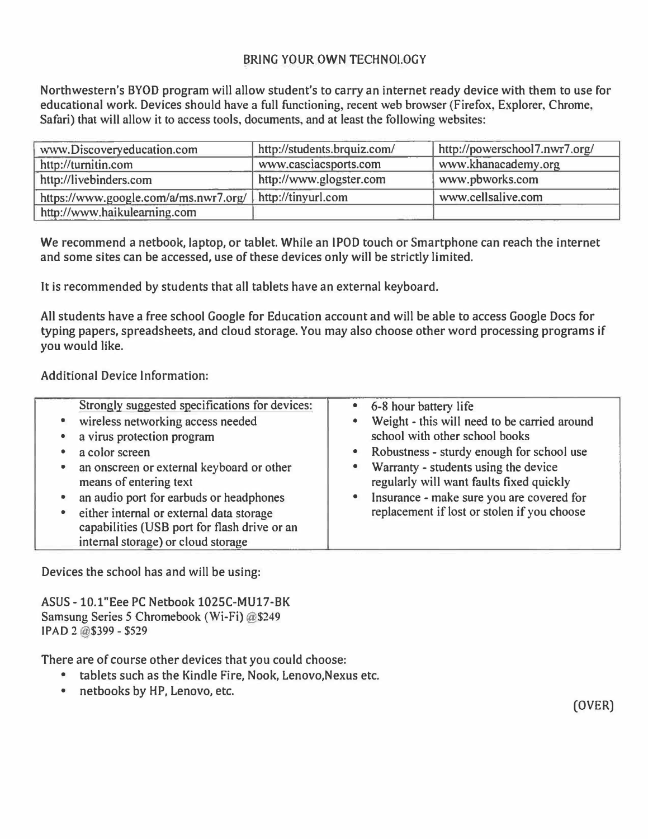## **BRING YOUR OWN TECHNOLOGY**

**Northwestern's BYOD program will allow student's to carry an internet ready device with them to use for educational work. Devices should have a full functioning, recent web browser (Firefox, Explorer, Chrome, Safari) that will allow it to access tools, documents, and at least the following websites:** 

| www.Discoveryeducation.com                               | http://students.brquiz.com/ | http://powerschool7.nwr7.org/ |
|----------------------------------------------------------|-----------------------------|-------------------------------|
| http://turnitin.com                                      | www.casciacsports.com       | www.khanacademy.org           |
| http://livebinders.com                                   | http://www.glogster.com     | www.pbworks.com               |
| https://www.google.com/a/ms.nwr7.org/ http://tinyurl.com |                             | www.cellsalive.com            |
| http://www.haikulearning.com                             |                             |                               |

**We recommend a netbook, laptop, or tablet. While an lPOD touch or Smartphone can reach the internet and some sites can be accessed, use of these devices only will be strictly limited.** 

**It is recommended by students that all tablets have an external keyboard.** 

**All students have a free school Google for Education account and will be able to access Google Docs for typing papers, spreadsheets, and cloud storage. You may also choose other word processing programs if you would like.** 

**Additional Device Information:** 

| Strongly suggested specifications for devices:<br>wireless networking access needed<br>a virus protection program<br>a color screen<br>an onscreen or external keyboard or other<br>means of entering text<br>an audio port for earbuds or headphones<br>either internal or external data storage | $\bullet$<br>$\bullet$<br>$\bullet$<br>$\bullet$<br>$\bullet$ | 6-8 hour battery life<br>Weight - this will need to be carried around<br>school with other school books<br>Robustness - sturdy enough for school use<br>Warranty - students using the device<br>regularly will want faults fixed quickly<br>Insurance - make sure you are covered for<br>replacement if lost or stolen if you choose |  |
|---------------------------------------------------------------------------------------------------------------------------------------------------------------------------------------------------------------------------------------------------------------------------------------------------|---------------------------------------------------------------|--------------------------------------------------------------------------------------------------------------------------------------------------------------------------------------------------------------------------------------------------------------------------------------------------------------------------------------|--|
| capabilities (USB port for flash drive or an<br>internal storage) or cloud storage                                                                                                                                                                                                                |                                                               |                                                                                                                                                                                                                                                                                                                                      |  |

**Devices the school has and will be using:** 

**ASUS-10.l"Eee PC Netbook 1025C-MU17-BK Samsung Series 5 Chromebook (Wi-Fi) @\$249 IPAD 2@\$399 - \$529** 

**There are of course other devices that you could choose:** 

- **• tablets such as the Kindle Fire, Nook, Lenovo.Nexus etc.**
- **• netbooks by HP, Lenovo, etc.**

(OVER)